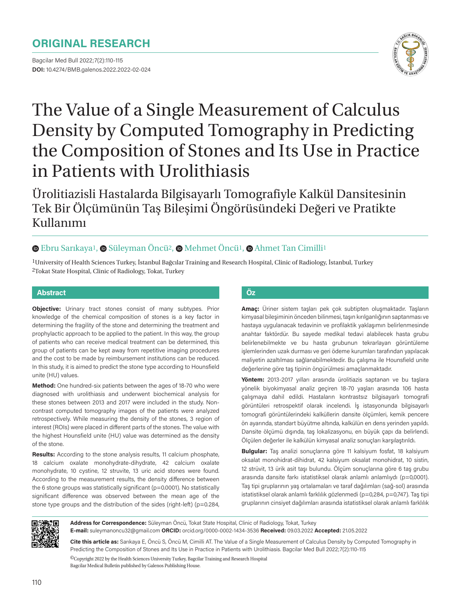## **ORIGINAL RESEARCH**

Bagcilar Med Bull 2022;7(2):110-115 **DOI:** 10.4274/BMB.galenos.2022.2022-02-024



# The Value of a Single Measurement of Calculus Density by Computed Tomography in Predicting the Composition of Stones and Its Use in Practice in Patients with Urolithiasis

Ürolitiazisli Hastalarda Bilgisayarlı Tomografiyle Kalkül Dansitesinin Tek Bir Ölçümünün Taş Bileşimi Öngörüsündeki Değeri ve Pratikte Kullanımı

## $\bullet$ **Ebru Sarıkaya<sup>1</sup>,**  $\bullet$  **Süleyman Öncü<sup>2</sup>,**  $\bullet$  **Mehmet Öncü<sup>1</sup>,**  $\bullet$  **Ahmet Tan Cimilli<sup>1</sup>**

<sup>1</sup>University of Health Sciences Turkey, İstanbul Bağcılar Training and Research Hospital, Clinic of Radiology, İstanbul, Turkey 2Tokat State Hospital, Clinic of Radiology, Tokat, Turkey

#### **Abstract Öz**

**Objective:** Urinary tract stones consist of many subtypes. Prior knowledge of the chemical composition of stones is a key factor in determining the fragility of the stone and determining the treatment and prophylactic approach to be applied to the patient. In this way, the group of patients who can receive medical treatment can be determined, this group of patients can be kept away from repetitive imaging procedures and the cost to be made by reimbursement institutions can be reduced. In this study, it is aimed to predict the stone type according to Hounsfield unite (HU) values.

**Method:** One hundred-six patients between the ages of 18-70 who were diagnosed with urolithiasis and underwent biochemical analysis for these stones between 2013 and 2017 were included in the study. Noncontrast computed tomography images of the patients were analyzed retrospectively. While measuring the density of the stones, 3 region of interest (ROIs) were placed in different parts of the stones. The value with the highest Hounsfield unite (HU) value was determined as the density of the stone.

**Results:** According to the stone analysis results, 11 calcium phosphate, 18 calcium oxalate monohydrate-dihydrate, 42 calcium oxalate monohydrate, 10 cystine, 12 struvite, 13 uric acid stones were found. According to the measurement results, the density difference between the 6 stone groups was statistically significant (p=0.0001). No statistically significant difference was observed between the mean age of the stone type groups and the distribution of the sides (right-left) (p=0.284,

**Amaç:** Üriner sistem taşları pek çok subtipten oluşmaktadır. Taşların kimyasal bileşiminin önceden bilinmesi, taşın kırılganlığının saptanması ve hastaya uygulanacak tedavinin ve profilaktik yaklaşımın belirlenmesinde anahtar faktördür. Bu sayede medikal tedavi alabilecek hasta grubu belirlenebilmekte ve bu hasta grubunun tekrarlayan görüntüleme işlemlerinden uzak durması ve geri ödeme kurumları tarafından yapılacak maliyetin azaltılması sağlanabilmektedir. Bu çalışma ile Hounsfield unite değerlerine göre taş tipinin öngürülmesi amaçlanmaktadır.

**Yöntem:** 2013-2017 yılları arasında ürolitiazis saptanan ve bu taşlara yönelik biyokimyasal analiz geçiren 18-70 yaşları arasında 106 hasta çalışmaya dahil edildi. Hastaların kontrastsız bilgisayarlı tomografi görüntüleri retrospektif olarak incelendi. İş istasyonunda bilgisayarlı tomografi görüntülerindeki kalküllerin dansite ölçümleri, kemik pencere ön ayarında, standart büyütme altında, kalkülün en dens yerinden yapıldı. Dansite ölçümü dışında, taş lokalizasyonu, en büyük çapı da belirlendi. Ölçülen değerler ile kalkülün kimyasal analiz sonuçları karşılaştırıldı.

**Bulgular:** Taş analizi sonuçlarına göre 11 kalsiyum fosfat, 18 kalsiyum oksalat monohidrat-dihidrat, 42 kalsiyum oksalat monohidrat, 10 sistin, 12 strüvit, 13 ürik asit taşı bulundu. Ölçüm sonuçlarına göre 6 taş grubu arasında dansite farkı istatistiksel olarak anlamlı anlamlıydı (p=0,0001). Taş tipi gruplarının yaş ortalamaları ve taraf dağılımları (sağ-sol) arasında istatistiksel olarak anlamlı farklılık gözlenmedi (p=0,284, p=0,747). Taş tipi gruplarının cinsiyet dağılımları arasında istatistiksel olarak anlamlı farklılık



**Address for Correspondence:** Süleyman Öncü, Tokat State Hospital, Clinic of Radiology, Tokat, Turkey **E-mail:** suleymanoncu32@gmail.com **ORCID:** orcid.org/0000-0002-1434-3536 **Received:** 09.03.2022 **Accepted:** 21.05.2022

**Cite this article as:** Sarıkaya E, Öncü S, Öncü M, Cimilli AT. The Value of a Single Measurement of Calculus Density by Computed Tomography in Predicting the Composition of Stones and Its Use in Practice in Patients with Urolithiasis. Bagcilar Med Bull 2022;7(2):110-115

 ${}^{{\sf{O}}\!}$  Copyright 2022 by the Health Sciences University Turkey, Bagcilar Training and Research Hospital Bagcilar Medical Bulletin published by Galenos Publishing House.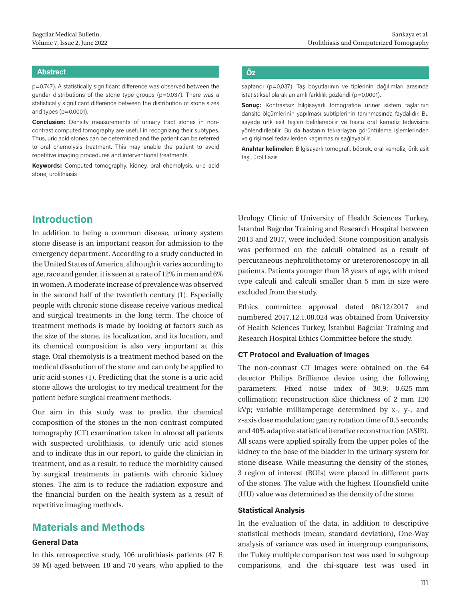#### **Abstract Öz**

p=0.747). A statistically significant difference was observed between the gender distributions of the stone type groups (p=0.037). There was a statistically significant difference between the distribution of stone sizes and types (p=0.0001).

**Conclusion:** Density measurements of urinary tract stones in noncontrast computed tomography are useful in recognizing their subtypes. Thus, uric acid stones can be determined and the patient can be referred to oral chemolysis treatment. This may enable the patient to avoid repetitive imaging procedures and interventional treatments.

**Keywords:** Computed tomography, kidney, oral chemolysis, uric acid stone, urolithiasis

saptandı (p=0,037). Taş boyutlarının ve tiplerinin dağılımları arasında istatistiksel olarak anlamlı farklılık gözlendi (p=0,0001).

**Sonuç:** Kontrastsız bilgisayarlı tomografide üriner sistem taşlarının dansite ölçümlerinin yapılması subtiplerinin tanınmasında faydalıdır. Bu sayede ürik asit taşları belirlenebilir ve hasta oral kemoliz tedavisine yönlendirilebilir. Bu da hastanın tekrarlayan görüntüleme işlemlerinden ve girişimsel tedavilerden kaçınmasını sağlayabilir.

**Anahtar kelimeler:** Bilgisayarlı tomografi, böbrek, oral kemoliz, ürik asit taşı, ürolitiazis

## **Introduction**

In addition to being a common disease, urinary system stone disease is an important reason for admission to the emergency department. According to a study conducted in the United States of America, although it varies according to age, race and gender, it is seen at a rate of 12% in men and 6% in women. A moderate increase of prevalence was observed in the second half of the twentieth century (1). Especially people with chronic stone disease receive various medical and surgical treatments in the long term. The choice of treatment methods is made by looking at factors such as the size of the stone, its localization, and its location, and its chemical composition is also very important at this stage. Oral chemolysis is a treatment method based on the medical dissolution of the stone and can only be applied to uric acid stones (1). Predicting that the stone is a uric acid stone allows the urologist to try medical treatment for the patient before surgical treatment methods.

Our aim in this study was to predict the chemical composition of the stones in the non-contrast computed tomography (CT) examination taken in almost all patients with suspected urolithiasis, to identify uric acid stones and to indicate this in our report, to guide the clinician in treatment, and as a result, to reduce the morbidity caused by surgical treatments in patients with chronic kidney stones. The aim is to reduce the radiation exposure and the financial burden on the health system as a result of repetitive imaging methods.

## **Materials and Methods**

#### **General Data**

In this retrospective study, 106 urolithiasis patients (47 F, 59 M) aged between 18 and 70 years, who applied to the Urology Clinic of University of Health Sciences Turkey, İstanbul Bağcılar Training and Research Hospital between 2013 and 2017, were included. Stone composition analysis was performed on the calculi obtained as a result of percutaneous nephrolithotomy or ureterorenoscopy in all patients. Patients younger than 18 years of age, with mixed type calculi and calculi smaller than 5 mm in size were excluded from the study.

Ethics committee approval dated 08/12/2017 and numbered 2017.12.1.08.024 was obtained from University of Health Sciences Turkey, İstanbul Bağcılar Training and Research Hospital Ethics Committee before the study.

### **CT Protocol and Evaluation of Images**

The non-contrast CT images were obtained on the 64 detector Philips Brilliance device using the following parameters: Fixed noise index of 30.9; 0.625-mm collimation; reconstruction slice thickness of 2 mm 120 kVp; variable milliamperage determined by x-, y-, and z-axis dose modulation; gantry rotation time of 0.5 seconds; and 40% adaptive statistical iterative reconstruction (ASIR). All scans were applied spirally from the upper poles of the kidney to the base of the bladder in the urinary system for stone disease. While measuring the density of the stones, 3 region of interest (ROIs) were placed in different parts of the stones. The value with the highest Hounsfield unite (HU) value was determined as the density of the stone.

#### **Statistical Analysis**

In the evaluation of the data, in addition to descriptive statistical methods (mean, standard deviation), One-Way analysis of variance was used in intergroup comparisons, the Tukey multiple comparison test was used in subgroup comparisons, and the chi-square test was used in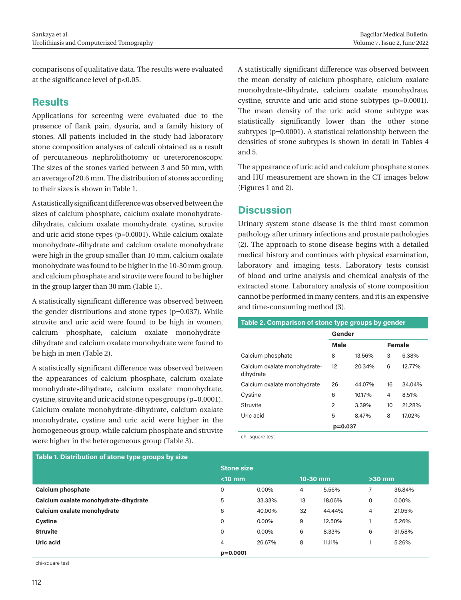comparisons of qualitative data. The results were evaluated at the significance level of p<0.05.

## **Results**

Applications for screening were evaluated due to the presence of flank pain, dysuria, and a family history of stones. All patients included in the study had laboratory stone composition analyses of calculi obtained as a result of percutaneous nephrolithotomy or ureterorenoscopy. The sizes of the stones varied between 3 and 50 mm, with an average of 20.6 mm. The distribution of stones according to their sizes is shown in Table 1.

A statistically significant difference was observed between the sizes of calcium phosphate, calcium oxalate monohydratedihydrate, calcium oxalate monohydrate, cystine, struvite and uric acid stone types (p=0.0001). While calcium oxalate monohydrate-dihydrate and calcium oxalate monohydrate were high in the group smaller than 10 mm, calcium oxalate monohydrate was found to be higher in the 10-30 mm group, and calcium phosphate and struvite were found to be higher in the group larger than 30 mm (Table 1).

A statistically significant difference was observed between the gender distributions and stone types (p=0.037). While struvite and uric acid were found to be high in women, calcium phosphate, calcium oxalate monohydratedihydrate and calcium oxalate monohydrate were found to be high in men (Table 2).

A statistically significant difference was observed between the appearances of calcium phosphate, calcium oxalate monohydrate-dihydrate, calcium oxalate monohydrate, cystine, struvite and uric acid stone types groups (p=0.0001). Calcium oxalate monohydrate-dihydrate, calcium oxalate monohydrate, cystine and uric acid were higher in the homogeneous group, while calcium phosphate and struvite were higher in the heterogeneous group (Table 3).

A statistically significant difference was observed between the mean density of calcium phosphate, calcium oxalate monohydrate-dihydrate, calcium oxalate monohydrate, cystine, struvite and uric acid stone subtypes (p=0.0001). The mean density of the uric acid stone subtype was statistically significantly lower than the other stone subtypes (p=0.0001). A statistical relationship between the densities of stone subtypes is shown in detail in Tables 4 and 5.

The appearance of uric acid and calcium phosphate stones and HU measurement are shown in the CT images below (Figures 1 and 2).

## **Discussion**

Urinary system stone disease is the third most common pathology after urinary infections and prostate pathologies (2). The approach to stone disease begins with a detailed medical history and continues with physical examination, laboratory and imaging tests. Laboratory tests consist of blood and urine analysis and chemical analysis of the extracted stone. Laboratory analysis of stone composition cannot be performed in many centers, and it is an expensive and time-consuming method (3).

## **Table 2. Comparison of stone type groups by gender**

|                                           | Gender         |        |               |        |
|-------------------------------------------|----------------|--------|---------------|--------|
|                                           | <b>Male</b>    |        | <b>Female</b> |        |
| Calcium phosphate                         | 8              | 13.56% | 3             | 6.38%  |
| Calcium oxalate monohydrate-<br>dihydrate | 12             | 20.34% | 6             | 12.77% |
| Calcium oxalate monohydrate               | 26             | 44.07% | 16            | 34.04% |
| Cystine                                   | 6              | 10.17% | 4             | 8.51%  |
| Struvite                                  | $\overline{2}$ | 3.39%  | 10            | 21.28% |
| Uric acid                                 | 5              | 8.47%  | 8             | 17.02% |
|                                           | $p=0.037$      |        |               |        |

chi-square test

| Table 1. Distribution of stone type groups by size |                   |          |          |        |          |        |
|----------------------------------------------------|-------------------|----------|----------|--------|----------|--------|
|                                                    | <b>Stone size</b> |          |          |        |          |        |
|                                                    | $< 10$ mm         |          | 10-30 mm |        | $>30$ mm |        |
| <b>Calcium phosphate</b>                           | 0                 | $0.00\%$ | 4        | 5.56%  |          | 36,84% |
| Calcium oxalate monohydrate-dihydrate              | 5                 | 33,33%   | 13       | 18.06% | 0        | 0.00%  |
| Calcium oxalate monohydrate                        | 6                 | 40,00%   | 32       | 44.44% | 4        | 21.05% |
| <b>Cystine</b>                                     | 0                 | $0.00\%$ | 9        | 12.50% |          | 5.26%  |
| <b>Struvite</b>                                    | 0                 | $0.00\%$ | 6        | 8.33%  | 6        | 31.58% |
| Uric acid                                          | 4                 | 26.67%   | 8        | 11.11% |          | 5.26%  |
|                                                    | $p = 0.0001$      |          |          |        |          |        |

chi-square test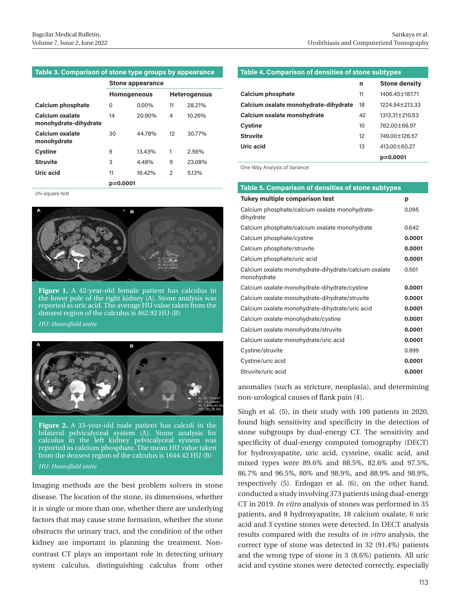#### **Table 3. Comparison of stone type groups by appearance**

|                                          | <b>Stone appearance</b> |          |               |                     |
|------------------------------------------|-------------------------|----------|---------------|---------------------|
|                                          | <b>Homogeneous</b>      |          |               | <b>Heterogenous</b> |
| <b>Calcium phosphate</b>                 | 0                       | $0.00\%$ | 11            | 28.21%              |
| Calcium oxalate<br>monohydrate-dihydrate | 14                      | 20.90%   | 4             | 10.26%              |
| Calcium oxalate<br>monohydrate           | 30                      | 44.78%   | 12            | 30.77%              |
| Cystine                                  | 9                       | 13.43%   | 1             | 2.56%               |
| <b>Struvite</b>                          | 3                       | 4.48%    | 9             | 23.08%              |
| Uric acid                                | 11                      | 16.42%   | $\mathcal{P}$ | 5.13%               |
|                                          | $p = 0.0001$            |          |               |                     |



**Figure 1.** A 42-year-old female patient has calculus in the lower pole of the right kidney  $(A)$ . Stone analysis was reported as uric acid. The average HU value taken from the densest region of the calculus is 462.92 HU (B)

#### *HU: Hounsfield unite*



**Figure 2.** A 33-year-old male patient has calculi in the bilateral pelvicalyceal system (A). Stone analysis for calculus in the left kidney pelvicalyceal system was reported as calcium phosphate. The mean HU value taken from the densest region of the calculus is 1644.42 HU (B) *HU: Hounsfield unite*

Imaging methods are the best problem solvers in stone disease. The location of the stone, its dimensions, whether it is single or more than one, whether there are underlying factors that may cause stone formation, whether the stone obstructs the urinary tract, and the condition of the other kidney are important in planning the treatment. Noncontrast CT plays an important role in detecting urinary system calculus, distinguishing calculus from other

#### **Table 4. Comparison of densities of stone subtypes**

|                                       | n  | <b>Stone density</b> |
|---------------------------------------|----|----------------------|
| <b>Calcium phosphate</b>              | 11 | 1406.45+187.71       |
| Calcium oxalate monohydrate-dihydrate | 18 | 1224.94+213.33       |
| Calcium oxalate monohydrate           | 42 | 1313.31+210.53       |
| <b>Cystine</b>                        | 10 | 762.00+66.97         |
| <b>Struvite</b>                       | 12 | 749.00 + 126.57      |
| Uric acid                             | 13 | $413.00 + 60.27$     |
|                                       |    | p=0.0001             |

One-Way Analysis of Variance

## chi-square test **Table 5. Comparison of densities of stone subtypes**

| <b>Tukey multiple comparison test</b>                                | p      |
|----------------------------------------------------------------------|--------|
| Calcium phosphate/calcium oxalate monohydrate-<br>dihydrate          | 0.095  |
| Calcium phosphate/calcium oxalate monohydrate                        | 0.642  |
| Calcium phosphate/cystine                                            | 0.0001 |
| Calcium phosphate/struvite                                           | 0.0001 |
| Calcium phosphate/uric acid                                          | 0.0001 |
| Calcium oxalate monohydrate-dihydrate/calcium oxalate<br>monohydrate | 0.501  |
| Calcium oxalate monohydrate-dihydrate/cystine                        | 0.0001 |
| Calcium oxalate monohydrate-dihydrate/struvite                       | 0.0001 |
| Calcium oxalate monohydrate-dihydrate/uric acid                      | 0.0001 |
| Calcium oxalate monohydrate/cystine                                  | 0.0001 |
| Calcium oxalate monohydrate/struvite                                 | 0.0001 |
| Calcium oxalate monohydrate/uric acid                                | 0.0001 |
| Cystine/struvite                                                     | 0.999  |
| Cystine/uric acid                                                    | 0.0001 |
| Struvite/uric acid                                                   | 0.0001 |

anomalies (such as stricture, neoplasia), and determining non-urological causes of flank pain (4).

Singh et al. (5), in their study with 100 patients in 2020, found high sensitivity and specificity in the detection of stone subgroups by dual-energy CT. The sensitivity and specificity of dual-energy computed tomography (DECT) for hydroxyapatite, uric acid, cysteine, oxalic acid, and mixed types were 89.6% and 88.5%, 82.6% and 97.5%, 86.7% and 96.5%, 80% and 98.9%, and 88.9% and 98.9%, respectively (5). Erdogan et al. (6), on the other hand, conducted a study involving 373 patients using dual-energy CT in 2019. *In vitro* analysis of stones was performed in 35 patients, and 8 hydroxyapatite, 18 calcium oxalate, 6 uric acid and 3 cystine stones were detected. In DECT analysis results compared with the results of *in vitro* analysis, the correct type of stone was detected in 32 (91.4%) patients and the wrong type of stone in 3 (8.6%) patients. All uric acid and cystine stones were detected correctly, especially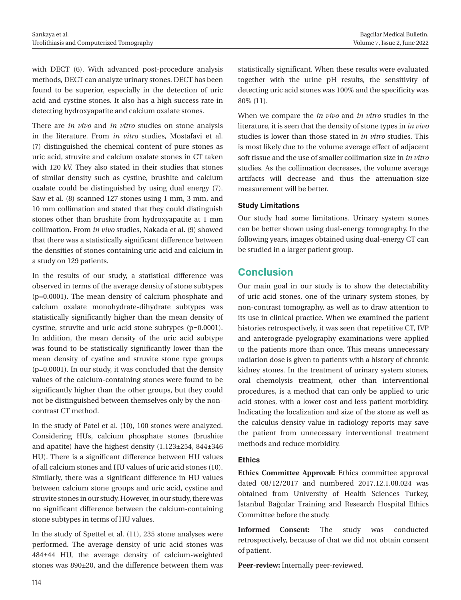with DECT (6). With advanced post-procedure analysis methods, DECT can analyze urinary stones. DECT has been found to be superior, especially in the detection of uric acid and cystine stones. It also has a high success rate in detecting hydroxyapatite and calcium oxalate stones.

There are *in vivo* and *in vitro* studies on stone analysis in the literature. From *in vitro* studies, Mostafavi et al. (7) distinguished the chemical content of pure stones as uric acid, struvite and calcium oxalate stones in CT taken with 120 kV. They also stated in their studies that stones of similar density such as cystine, brushite and calcium oxalate could be distinguished by using dual energy (7). Saw et al. (8) scanned 127 stones using 1 mm, 3 mm, and 10 mm collimation and stated that they could distinguish stones other than brushite from hydroxyapatite at 1 mm collimation. From *in vivo* studies, Nakada et al. (9) showed that there was a statistically significant difference between the densities of stones containing uric acid and calcium in a study on 129 patients.

In the results of our study, a statistical difference was observed in terms of the average density of stone subtypes (p=0.0001). The mean density of calcium phosphate and calcium oxalate monohydrate-dihydrate subtypes was statistically significantly higher than the mean density of cystine, struvite and uric acid stone subtypes (p=0.0001). In addition, the mean density of the uric acid subtype was found to be statistically significantly lower than the mean density of cystine and struvite stone type groups (p=0.0001). In our study, it was concluded that the density values of the calcium-containing stones were found to be significantly higher than the other groups, but they could not be distinguished between themselves only by the noncontrast CT method.

In the study of Patel et al. (10), 100 stones were analyzed. Considering HUs, calcium phosphate stones (brushite and apatite) have the highest density (1.123±254, 844±346 HU). There is a significant difference between HU values of all calcium stones and HU values of uric acid stones (10). Similarly, there was a significant difference in HU values between calcium stone groups and uric acid, cystine and struvite stones in our study. However, in our study, there was no significant difference between the calcium-containing stone subtypes in terms of HU values.

In the study of Spettel et al. (11), 235 stone analyses were performed. The average density of uric acid stones was 484±44 HU, the average density of calcium-weighted stones was 890±20, and the difference between them was

statistically significant. When these results were evaluated together with the urine pH results, the sensitivity of detecting uric acid stones was 100% and the specificity was 80% (11).

When we compare the *in vivo* and *in vitro* studies in the literature, it is seen that the density of stone types in *in vivo* studies is lower than those stated in *in vitro* studies. This is most likely due to the volume average effect of adjacent soft tissue and the use of smaller collimation size in *in vitro* studies. As the collimation decreases, the volume average artifacts will decrease and thus the attenuation-size measurement will be better.

## **Study Limitations**

Our study had some limitations. Urinary system stones can be better shown using dual-energy tomography. In the following years, images obtained using dual-energy CT can be studied in a larger patient group.

## **Conclusion**

Our main goal in our study is to show the detectability of uric acid stones, one of the urinary system stones, by non-contrast tomography, as well as to draw attention to its use in clinical practice. When we examined the patient histories retrospectively, it was seen that repetitive CT, IVP and anterograde pyelography examinations were applied to the patients more than once. This means unnecessary radiation dose is given to patients with a history of chronic kidney stones. In the treatment of urinary system stones, oral chemolysis treatment, other than interventional procedures, is a method that can only be applied to uric acid stones, with a lower cost and less patient morbidity. Indicating the localization and size of the stone as well as the calculus density value in radiology reports may save the patient from unnecessary interventional treatment methods and reduce morbidity.

### **Ethics**

**Ethics Committee Approval:** Ethics committee approval dated 08/12/2017 and numbered 2017.12.1.08.024 was obtained from University of Health Sciences Turkey, İstanbul Bağcılar Training and Research Hospital Ethics Committee before the study.

**Informed Consent:** The study was conducted retrospectively, because of that we did not obtain consent of patient.

**Peer-review:** Internally peer-reviewed.